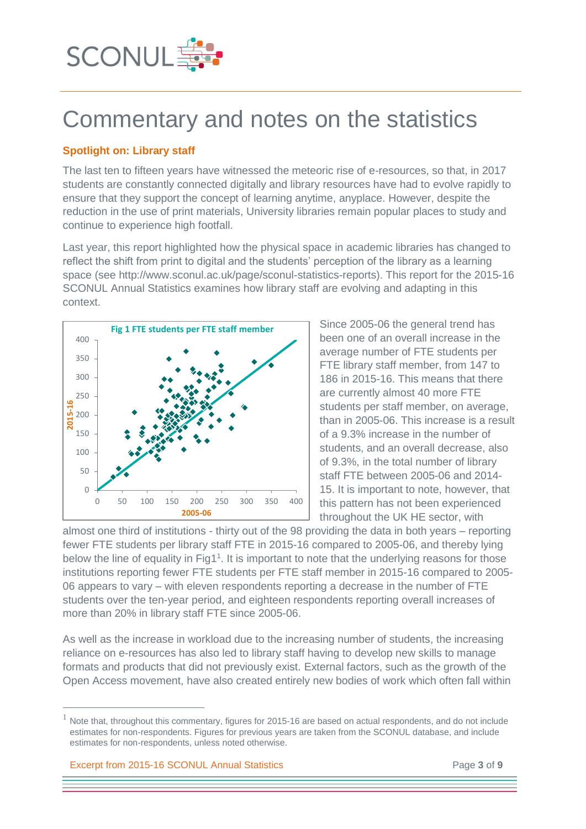

# Commentary and notes on the statistics

# **Spotlight on: Library staff**

The last ten to fifteen years have witnessed the meteoric rise of e-resources, so that, in 2017 students are constantly connected digitally and library resources have had to evolve rapidly to ensure that they support the concept of learning anytime, anyplace. However, despite the reduction in the use of print materials, University libraries remain popular places to study and continue to experience high footfall.

Last year, this report highlighted how the physical space in academic libraries has changed to reflect the shift from print to digital and the students' perception of the library as a learning space (see http://www.sconul.ac.uk/page/sconul-statistics-reports). This report for the 2015-16 SCONUL Annual Statistics examines how library staff are evolving and adapting in this context.



Since 2005-06 the general trend has been one of an overall increase in the average number of FTE students per FTE library staff member, from 147 to 186 in 2015-16. This means that there are currently almost 40 more FTE students per staff member, on average, than in 2005-06. This increase is a result of a 9.3% increase in the number of students, and an overall decrease, also of 9.3%, in the total number of library staff FTE between 2005-06 and 2014- 15. It is important to note, however, that this pattern has not been experienced throughout the UK HE sector, with

almost one third of institutions - thirty out of the 98 providing the data in both years – reporting fewer FTE students per library staff FTE in 2015-16 compared to 2005-06, and thereby lying below the line of equality in Fig1<sup>1</sup>. It is important to note that the underlying reasons for those institutions reporting fewer FTE students per FTE staff member in 2015-16 compared to 2005- 06 appears to vary – with eleven respondents reporting a decrease in the number of FTE students over the ten-year period, and eighteen respondents reporting overall increases of more than 20% in library staff FTE since 2005-06.

As well as the increase in workload due to the increasing number of students, the increasing reliance on e-resources has also led to library staff having to develop new skills to manage formats and products that did not previously exist. External factors, such as the growth of the Open Access movement, have also created entirely new bodies of work which often fall within

Excerpt from 2015-16 SCONUL Annual Statistics Page **3** of **9**

 $\overline{a}$ 

Note that, throughout this commentary, figures for 2015-16 are based on actual respondents, and do not include estimates for non-respondents. Figures for previous years are taken from the SCONUL database, and include estimates for non-respondents, unless noted otherwise.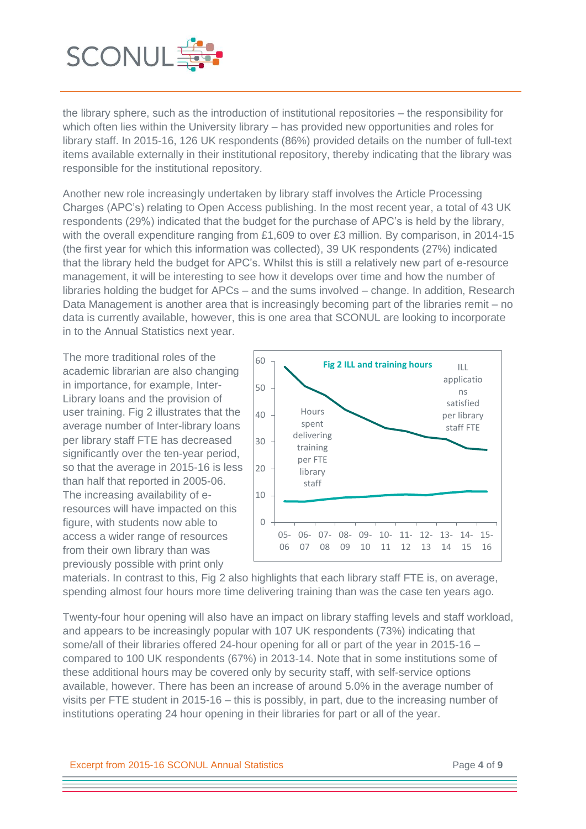

the library sphere, such as the introduction of institutional repositories – the responsibility for which often lies within the University library – has provided new opportunities and roles for library staff. In 2015-16, 126 UK respondents (86%) provided details on the number of full-text items available externally in their institutional repository, thereby indicating that the library was responsible for the institutional repository.

Another new role increasingly undertaken by library staff involves the Article Processing Charges (APC's) relating to Open Access publishing. In the most recent year, a total of 43 UK respondents (29%) indicated that the budget for the purchase of APC's is held by the library, with the overall expenditure ranging from £1,609 to over £3 million. By comparison, in 2014-15 (the first year for which this information was collected), 39 UK respondents (27%) indicated that the library held the budget for APC's. Whilst this is still a relatively new part of e-resource management, it will be interesting to see how it develops over time and how the number of libraries holding the budget for APCs – and the sums involved – change. In addition, Research Data Management is another area that is increasingly becoming part of the libraries remit – no data is currently available, however, this is one area that SCONUL are looking to incorporate in to the Annual Statistics next year.

The more traditional roles of the academic librarian are also changing in importance, for example, Inter-Library loans and the provision of user training. Fig 2 illustrates that the average number of Inter-library loans per library staff FTE has decreased significantly over the ten-year period, so that the average in 2015-16 is less than half that reported in 2005-06. The increasing availability of eresources will have impacted on this figure, with students now able to access a wider range of resources from their own library than was previously possible with print only



materials. In contrast to this, Fig 2 also highlights that each library staff FTE is, on average, spending almost four hours more time delivering training than was the case ten years ago.

Twenty-four hour opening will also have an impact on library staffing levels and staff workload, and appears to be increasingly popular with 107 UK respondents (73%) indicating that some/all of their libraries offered 24-hour opening for all or part of the year in 2015-16 – compared to 100 UK respondents (67%) in 2013-14. Note that in some institutions some of these additional hours may be covered only by security staff, with self-service options available, however. There has been an increase of around 5.0% in the average number of visits per FTE student in 2015-16 – this is possibly, in part, due to the increasing number of institutions operating 24 hour opening in their libraries for part or all of the year.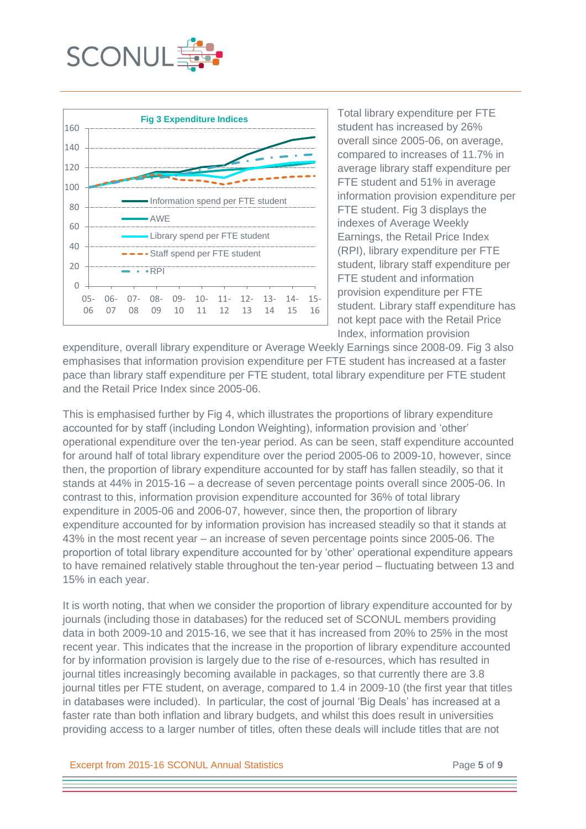



Total library expenditure per FTE student has increased by 26% overall since 2005-06, on average, compared to increases of 11.7% in average library staff expenditure per FTE student and 51% in average information provision expenditure per FTE student. Fig 3 displays the indexes of Average Weekly Earnings, the Retail Price Index (RPI), library expenditure per FTE student, library staff expenditure per FTE student and information provision expenditure per FTE student. Library staff expenditure has not kept pace with the Retail Price Index, information provision

expenditure, overall library expenditure or Average Weekly Earnings since 2008-09. Fig 3 also emphasises that information provision expenditure per FTE student has increased at a faster pace than library staff expenditure per FTE student, total library expenditure per FTE student and the Retail Price Index since 2005-06.

This is emphasised further by Fig 4, which illustrates the proportions of library expenditure accounted for by staff (including London Weighting), information provision and 'other' operational expenditure over the ten-year period. As can be seen, staff expenditure accounted for around half of total library expenditure over the period 2005-06 to 2009-10, however, since then, the proportion of library expenditure accounted for by staff has fallen steadily, so that it stands at 44% in 2015-16 – a decrease of seven percentage points overall since 2005-06. In contrast to this, information provision expenditure accounted for 36% of total library expenditure in 2005-06 and 2006-07, however, since then, the proportion of library expenditure accounted for by information provision has increased steadily so that it stands at 43% in the most recent year – an increase of seven percentage points since 2005-06. The proportion of total library expenditure accounted for by 'other' operational expenditure appears to have remained relatively stable throughout the ten-year period – fluctuating between 13 and 15% in each year.

It is worth noting, that when we consider the proportion of library expenditure accounted for by journals (including those in databases) for the reduced set of SCONUL members providing data in both 2009-10 and 2015-16, we see that it has increased from 20% to 25% in the most recent year. This indicates that the increase in the proportion of library expenditure accounted for by information provision is largely due to the rise of e-resources, which has resulted in journal titles increasingly becoming available in packages, so that currently there are 3.8 journal titles per FTE student, on average, compared to 1.4 in 2009-10 (the first year that titles in databases were included). In particular, the cost of journal 'Big Deals' has increased at a faster rate than both inflation and library budgets, and whilst this does result in universities providing access to a larger number of titles, often these deals will include titles that are not

Excerpt from 2015-16 SCONUL Annual Statistics Page **5** of **9**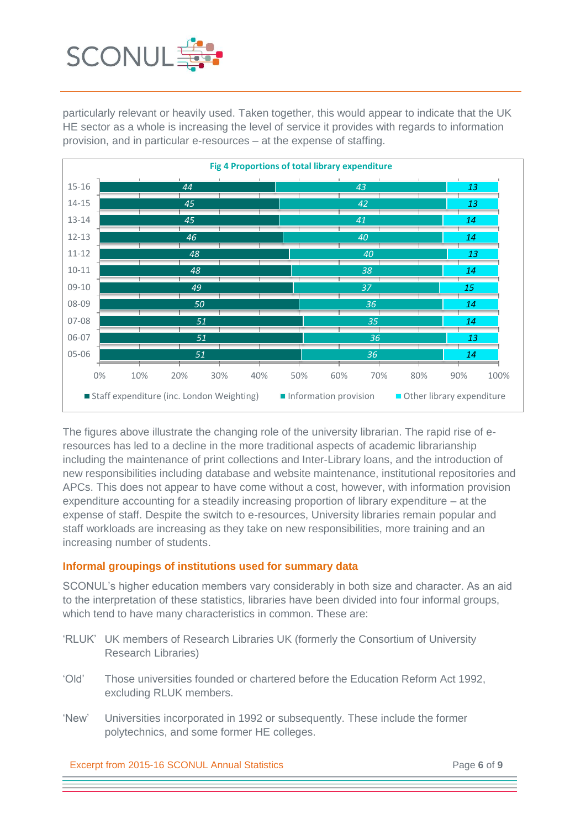

particularly relevant or heavily used. Taken together, this would appear to indicate that the UK HE sector as a whole is increasing the level of service it provides with regards to information provision, and in particular e-resources – at the expense of staffing.



The figures above illustrate the changing role of the university librarian. The rapid rise of eresources has led to a decline in the more traditional aspects of academic librarianship including the maintenance of print collections and Inter-Library loans, and the introduction of new responsibilities including database and website maintenance, institutional repositories and APCs. This does not appear to have come without a cost, however, with information provision expenditure accounting for a steadily increasing proportion of library expenditure – at the expense of staff. Despite the switch to e-resources, University libraries remain popular and staff workloads are increasing as they take on new responsibilities, more training and an increasing number of students.

# **Informal groupings of institutions used for summary data**

SCONUL's higher education members vary considerably in both size and character. As an aid to the interpretation of these statistics, libraries have been divided into four informal groups, which tend to have many characteristics in common. These are:

- 'RLUK' UK members of Research Libraries UK (formerly the Consortium of University Research Libraries)
- 'Old' Those universities founded or chartered before the Education Reform Act 1992, excluding RLUK members.
- 'New' Universities incorporated in 1992 or subsequently. These include the former polytechnics, and some former HE colleges.

Excerpt from 2015-16 SCONUL Annual Statistics Page **6** of **9**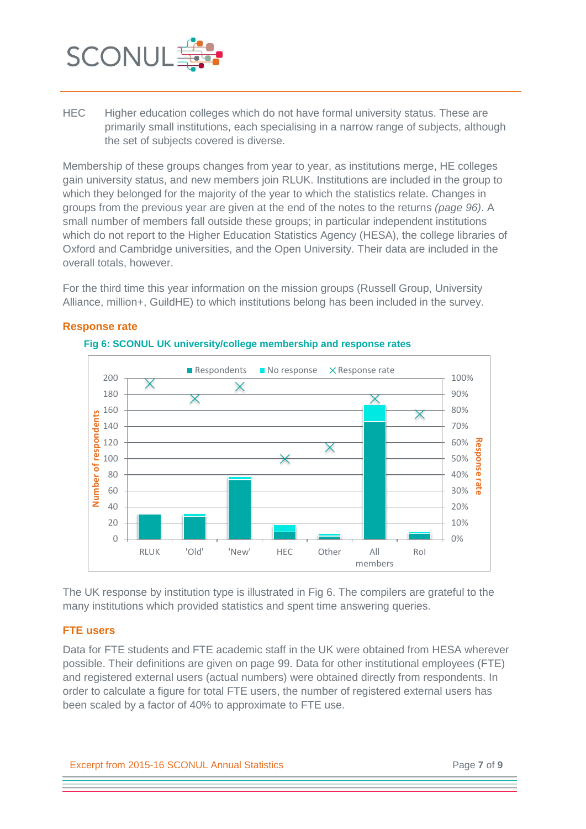

HEC Higher education colleges which do not have formal university status. These are primarily small institutions, each specialising in a narrow range of subjects, although the set of subjects covered is diverse.

Membership of these groups changes from year to year, as institutions merge, HE colleges gain university status, and new members join RLUK. Institutions are included in the group to which they belonged for the majority of the year to which the statistics relate. Changes in groups from the previous year are given at the end of the notes to the returns *(page 96)*. A small number of members fall outside these groups; in particular independent institutions which do not report to the Higher Education Statistics Agency (HESA), the college libraries of Oxford and Cambridge universities, and the Open University. Their data are included in the overall totals, however.

For the third time this year information on the mission groups (Russell Group, University Alliance, million+, GuildHE) to which institutions belong has been included in the survey.



# **Response rate**

The UK response by institution type is illustrated in Fig 6. The compilers are grateful to the many institutions which provided statistics and spent time answering queries.

# **FTE users**

Data for FTE students and FTE academic staff in the UK were obtained from HESA wherever possible. Their definitions are given on page 99. Data for other institutional employees (FTE) and registered external users (actual numbers) were obtained directly from respondents. In order to calculate a figure for total FTE users, the number of registered external users has been scaled by a factor of 40% to approximate to FTE use.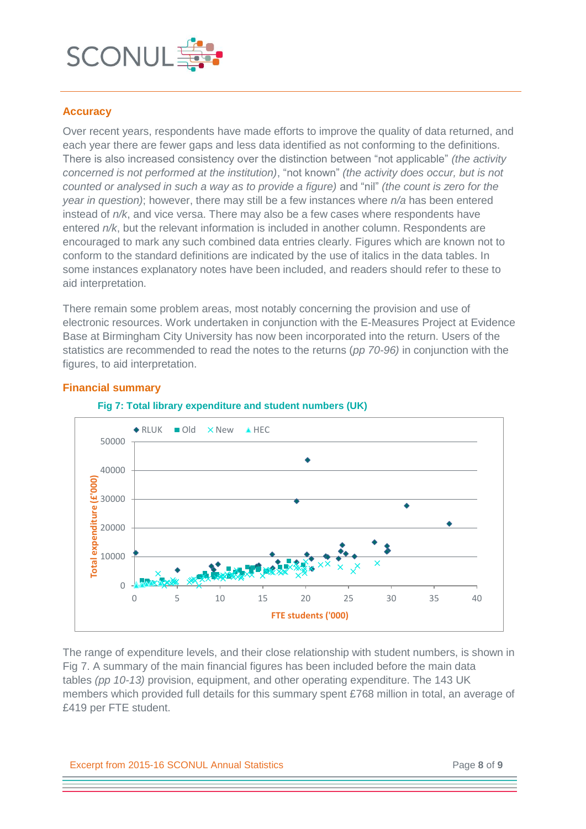

# **Accuracy**

Over recent years, respondents have made efforts to improve the quality of data returned, and each year there are fewer gaps and less data identified as not conforming to the definitions. There is also increased consistency over the distinction between "not applicable" *(the activity concerned is not performed at the institution)*, "not known" *(the activity does occur, but is not counted or analysed in such a way as to provide a figure)* and "nil" *(the count is zero for the year in question)*; however, there may still be a few instances where *n/a* has been entered instead of *n/k*, and vice versa. There may also be a few cases where respondents have entered *n/k*, but the relevant information is included in another column. Respondents are encouraged to mark any such combined data entries clearly. Figures which are known not to conform to the standard definitions are indicated by the use of italics in the data tables. In some instances explanatory notes have been included, and readers should refer to these to aid interpretation.

There remain some problem areas, most notably concerning the provision and use of electronic resources. Work undertaken in conjunction with the E-Measures Project at Evidence Base at Birmingham City University has now been incorporated into the return. Users of the statistics are recommended to read the notes to the returns (*pp 70-96)* in conjunction with the figures, to aid interpretation.



## **Financial summary**

## **Fig 7: Total library expenditure and student numbers (UK)**

The range of expenditure levels, and their close relationship with student numbers, is shown in Fig 7. A summary of the main financial figures has been included before the main data tables *(pp 10-13)* provision, equipment, and other operating expenditure. The 143 UK members which provided full details for this summary spent £768 million in total, an average of £419 per FTE student.

#### Excerpt from 2015-16 SCONUL Annual Statistics Page **8** of **9**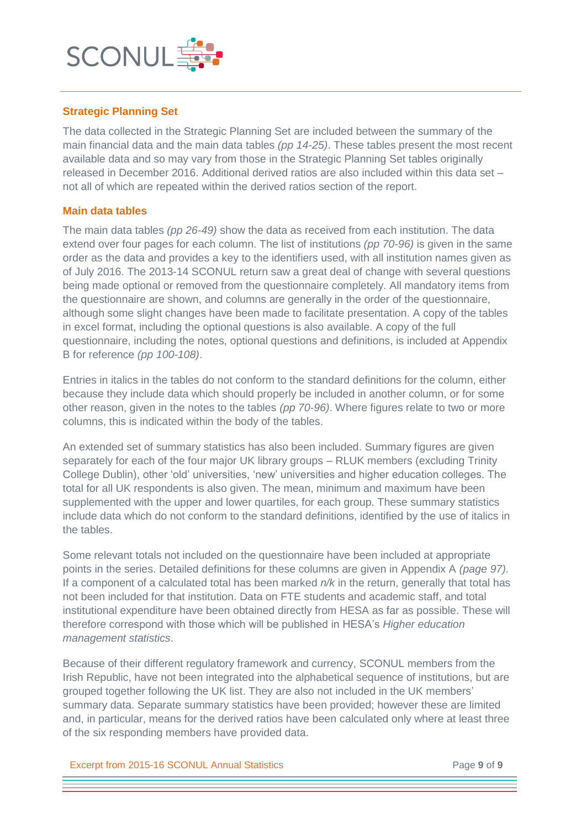

# **Strategic Planning Set**

The data collected in the Strategic Planning Set are included between the summary of the main financial data and the main data tables *(pp 14-25)*. These tables present the most recent available data and so may vary from those in the Strategic Planning Set tables originally released in December 2016. Additional derived ratios are also included within this data set – not all of which are repeated within the derived ratios section of the report.

## **Main data tables**

The main data tables *(pp 26-49)* show the data as received from each institution. The data extend over four pages for each column. The list of institutions *(pp 70-96)* is given in the same order as the data and provides a key to the identifiers used, with all institution names given as of July 2016. The 2013-14 SCONUL return saw a great deal of change with several questions being made optional or removed from the questionnaire completely. All mandatory items from the questionnaire are shown, and columns are generally in the order of the questionnaire, although some slight changes have been made to facilitate presentation. A copy of the tables in excel format, including the optional questions is also available. A copy of the full questionnaire, including the notes, optional questions and definitions, is included at Appendix B for reference *(pp 100-108)*.

Entries in italics in the tables do not conform to the standard definitions for the column, either because they include data which should properly be included in another column, or for some other reason, given in the notes to the tables *(pp 70-96)*. Where figures relate to two or more columns, this is indicated within the body of the tables.

An extended set of summary statistics has also been included. Summary figures are given separately for each of the four major UK library groups – RLUK members (excluding Trinity College Dublin), other 'old' universities, 'new' universities and higher education colleges. The total for all UK respondents is also given. The mean, minimum and maximum have been supplemented with the upper and lower quartiles, for each group. These summary statistics include data which do not conform to the standard definitions, identified by the use of italics in the tables.

Some relevant totals not included on the questionnaire have been included at appropriate points in the series. Detailed definitions for these columns are given in Appendix A *(page 97)*. If a component of a calculated total has been marked *n/k* in the return, generally that total has not been included for that institution. Data on FTE students and academic staff, and total institutional expenditure have been obtained directly from HESA as far as possible. These will therefore correspond with those which will be published in HESA's *Higher education management statistics*.

Because of their different regulatory framework and currency, SCONUL members from the Irish Republic, have not been integrated into the alphabetical sequence of institutions, but are grouped together following the UK list. They are also not included in the UK members' summary data. Separate summary statistics have been provided; however these are limited and, in particular, means for the derived ratios have been calculated only where at least three of the six responding members have provided data.

Excerpt from 2015-16 SCONUL Annual Statistics Page **9** of **9**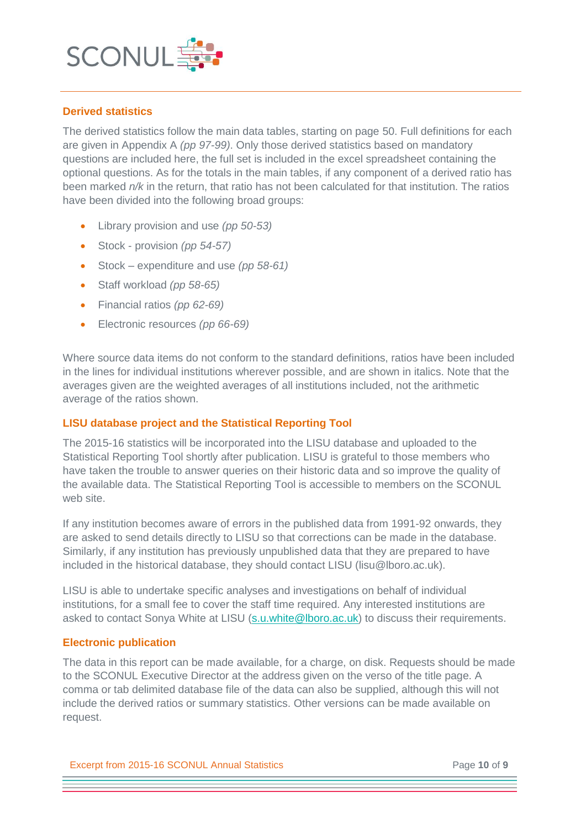

# **Derived statistics**

The derived statistics follow the main data tables, starting on page 50. Full definitions for each are given in Appendix A *(pp 97-99)*. Only those derived statistics based on mandatory questions are included here, the full set is included in the excel spreadsheet containing the optional questions. As for the totals in the main tables, if any component of a derived ratio has been marked *n/k* in the return, that ratio has not been calculated for that institution. The ratios have been divided into the following broad groups:

- Library provision and use *(pp 50-53)*
- Stock provision *(pp 54-57)*
- Stock expenditure and use *(pp 58-61)*
- Staff workload *(pp 58-65)*
- Financial ratios *(pp 62-69)*
- Electronic resources *(pp 66-69)*

Where source data items do not conform to the standard definitions, ratios have been included in the lines for individual institutions wherever possible, and are shown in italics. Note that the averages given are the weighted averages of all institutions included, not the arithmetic average of the ratios shown.

# **LISU database project and the Statistical Reporting Tool**

The 2015-16 statistics will be incorporated into the LISU database and uploaded to the Statistical Reporting Tool shortly after publication. LISU is grateful to those members who have taken the trouble to answer queries on their historic data and so improve the quality of the available data. The Statistical Reporting Tool is accessible to members on the SCONUL web site.

If any institution becomes aware of errors in the published data from 1991-92 onwards, they are asked to send details directly to LISU so that corrections can be made in the database. Similarly, if any institution has previously unpublished data that they are prepared to have included in the historical database, they should contact LISU (lisu@lboro.ac.uk).

LISU is able to undertake specific analyses and investigations on behalf of individual institutions, for a small fee to cover the staff time required. Any interested institutions are asked to contact Sonya White at LISU [\(s.u.white@lboro.ac.uk\)](mailto:s.u.white@lboro.ac.uk) to discuss their requirements.

# **Electronic publication**

The data in this report can be made available, for a charge, on disk. Requests should be made to the SCONUL Executive Director at the address given on the verso of the title page. A comma or tab delimited database file of the data can also be supplied, although this will not include the derived ratios or summary statistics. Other versions can be made available on request.

Excerpt from 2015-16 SCONUL Annual Statistics Page **10** of **9**